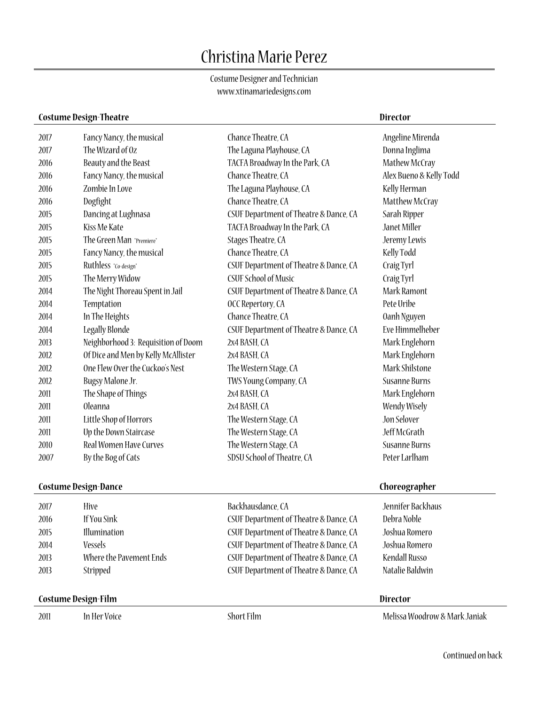# Christina Marie Perez

Costume Designer and Technician www.xtinamariedesigns.com

# **Costume Design-Theatre Director**

| 2017 | Fancy Nancy, the musical            | Chance Theatre, CA                     | Angeline Mirenda        |  |
|------|-------------------------------------|----------------------------------------|-------------------------|--|
| 2017 | The Wizard of Oz                    | The Laguna Playhouse, CA               | Donna Inglima           |  |
| 2016 | Beauty and the Beast                | TACFA Broadway In the Park, CA         | Mathew McCray           |  |
| 2016 | Fancy Nancy, the musical            | Chance Theatre, CA                     | Alex Bueno & Kelly Todd |  |
| 2016 | Zombie In Love                      | The Laguna Playhouse, CA               | Kelly Herman            |  |
| 2016 | Dogfight                            | Chance Theatre, CA                     | Matthew McCray          |  |
| 2015 | Dancing at Lughnasa                 | CSUF Department of Theatre & Dance, CA | Sarah Ripper            |  |
| 2015 | Kiss Me Kate                        | TACFA Broadway In the Park, CA         | Janet Miller            |  |
| 2015 | The Green Man *Premiere*            | Stages Theatre, CA                     | Jeremy Lewis            |  |
| 2015 | Fancy Nancy, the musical            | Chance Theatre, CA                     | Kelly Todd              |  |
| 2015 | Ruthless *Co-design*                | CSUF Department of Theatre & Dance, CA | Craig Tyrl              |  |
| 2015 | The Merry Widow                     | <b>CSUF School of Music</b>            | Craig Tyrl              |  |
| 2014 | The Night Thoreau Spent in Jail     | CSUF Department of Theatre & Dance, CA | Mark Ramont             |  |
| 2014 | Temptation                          | OCC Repertory, CA                      | Pete Uribe              |  |
| 2014 | In The Heights                      | Chance Theatre, CA                     | Oanh Nguyen             |  |
| 2014 | Legally Blonde                      | CSUF Department of Theatre & Dance, CA | Eve Himmelheber         |  |
| 2013 | Neighborhood 3: Requisition of Doom | 2x4 BASH, CA                           | Mark Englehorn          |  |
| 2012 | Of Dice and Men by Kelly McAllister | 2x4 BASH, CA                           | Mark Englehorn          |  |
| 2012 | One Flew Over the Cuckoo's Nest     | The Western Stage, CA                  | Mark Shilstone          |  |
| 2012 | Bugsy Malone Jr.                    | TWS Young Company, CA                  | <b>Susanne Burns</b>    |  |
| 2011 | The Shape of Things                 | 2x4 BASH, CA                           | Mark Englehorn          |  |
| 2011 | <b>Oleanna</b>                      | 2x4 BASH, CA                           | <b>Wendy Wisely</b>     |  |
| 2011 | Little Shop of Horrors              | The Western Stage, CA                  | Jon Selover             |  |
| 2011 | Up the Down Staircase               | The Western Stage, CA                  | Jeff McGrath            |  |
| 2010 | Real Women Have Curves              | The Western Stage, CA                  | <b>Susanne Burns</b>    |  |
| 2007 | By the Bog of Cats                  | SDSU School of Theatre, CA             | Peter Larlham           |  |
|      | <b>Costume Design-Dance</b>         |                                        | Choreographer           |  |
| 2017 | Hive                                | Backhausdance, CA                      | Jennifer Backhaus       |  |
| 2016 | If You Sink                         | CSUF Department of Theatre & Dance, CA | Debra Noble             |  |

| $\mathcal{L}$ . | $\blacksquare$          | DUCKHURSUUHC, CA                       | <b>JUHILLE DUUNIUM</b> |  |
|-----------------|-------------------------|----------------------------------------|------------------------|--|
| 2016            | If You Sink             | CSUF Department of Theatre & Dance, CA | Debra Noble            |  |
| 2015            | Illumination            | CSUF Department of Theatre & Dance, CA | Joshua Romero          |  |
| 2014            | Vessels                 | CSUF Department of Theatre & Dance, CA | Joshua Romero          |  |
| 2013            | Where the Pavement Ends | CSUF Department of Theatre & Dance, CA | Kendall Russo          |  |
| 2013            | Stripped                | CSUF Department of Theatre & Dance, CA | Natalie Baldwin        |  |
|                 |                         |                                        |                        |  |

# **Costume Design-Film Director**

| 2011 | In Her Vo |
|------|-----------|
|      |           |

oice Short Film Short Film Melissa Woodrow & Mark Janiak